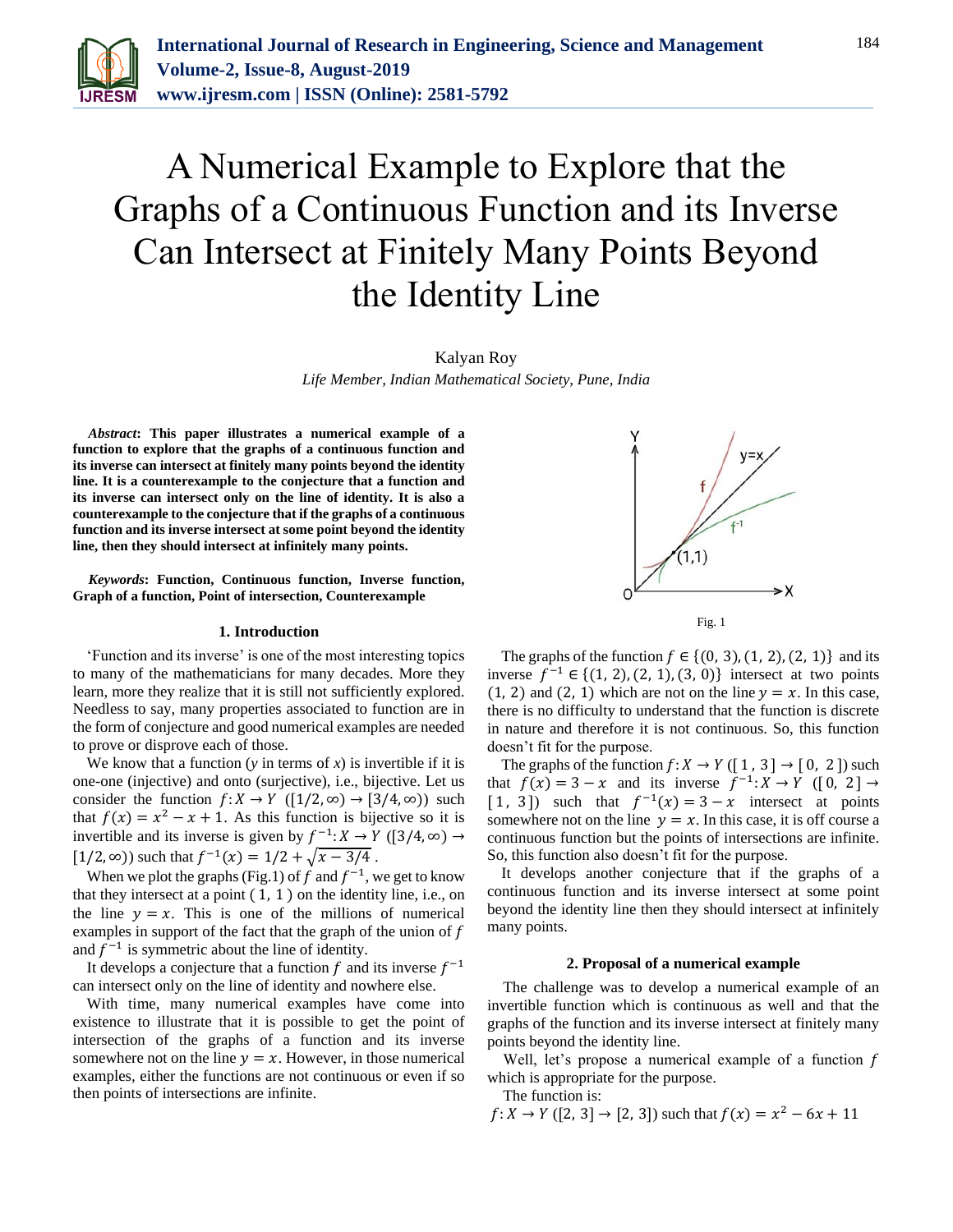

# A Numerical Example to Explore that the Graphs of a Continuous Function and its Inverse Can Intersect at Finitely Many Points Beyond the Identity Line

Kalyan Roy

*Life Member, Indian Mathematical Society, Pune, India*

*Abstract***: This paper illustrates a numerical example of a function to explore that the graphs of a continuous function and its inverse can intersect at finitely many points beyond the identity line. It is a counterexample to the conjecture that a function and its inverse can intersect only on the line of identity. It is also a counterexample to the conjecture that if the graphs of a continuous function and its inverse intersect at some point beyond the identity line, then they should intersect at infinitely many points.**

*Keywords***: Function, Continuous function, Inverse function, Graph of a function, Point of intersection, Counterexample** 

## **1. Introduction**

'Function and its inverse' is one of the most interesting topics to many of the mathematicians for many decades. More they learn, more they realize that it is still not sufficiently explored. Needless to say, many properties associated to function are in the form of conjecture and good numerical examples are needed to prove or disprove each of those.

We know that a function  $(y \in \text{ terms of } x)$  is invertible if it is one-one (injective) and onto (surjective), i.e., bijective. Let us consider the function  $f: X \to Y$  ([1/2, ∞) → [3/4, ∞)) such that  $f(x) = x^2 - x + 1$ . As this function is bijective so it is invertible and its inverse is given by  $f^{-1}: X \to Y$  ([3/4, ∞) → [1/2, ∞)) such that  $f^{-1}(x) = 1/2 + \sqrt{x - 3/4}$ .

When we plot the graphs (Fig.1) of f and  $f^{-1}$ , we get to know that they intersect at a point  $(1, 1)$  on the identity line, i.e., on the line  $y = x$ . This is one of the millions of numerical examples in support of the fact that the graph of the union of  $f$ and  $f^{-1}$  is symmetric about the line of identity.

It develops a conjecture that a function  $f$  and its inverse  $f^{-1}$ can intersect only on the line of identity and nowhere else.

With time, many numerical examples have come into existence to illustrate that it is possible to get the point of intersection of the graphs of a function and its inverse somewhere not on the line  $y = x$ . However, in those numerical examples, either the functions are not continuous or even if so then points of intersections are infinite.



The graphs of the function  $f \in \{(0, 3), (1, 2), (2, 1)\}\)$  and its inverse  $f^{-1}$  ∈ {(1, 2), (2, 1), (3, 0)} intersect at two points (1, 2) and (2, 1) which are not on the line  $y = x$ . In this case, there is no difficulty to understand that the function is discrete in nature and therefore it is not continuous. So, this function doesn't fit for the purpose.

The graphs of the function  $f: X \to Y$  ([1, 3]  $\to$  [0, 2]) such that  $f(x) = 3 - x$  and its inverse  $f^{-1}: X \to Y$  ([0, 2]  $\to$ [1, 3]) such that  $f^{-1}(x) = 3 - x$  intersect at points somewhere not on the line  $y = x$ . In this case, it is off course a continuous function but the points of intersections are infinite. So, this function also doesn't fit for the purpose.

It develops another conjecture that if the graphs of a continuous function and its inverse intersect at some point beyond the identity line then they should intersect at infinitely many points.

## **2. Proposal of a numerical example**

The challenge was to develop a numerical example of an invertible function which is continuous as well and that the graphs of the function and its inverse intersect at finitely many points beyond the identity line.

Well, let's propose a numerical example of a function  $f$ which is appropriate for the purpose.

The function is:

 $f: X \to Y$  ([2, 3]  $\to$  [2, 3]) such that  $f(x) = x^2 - 6x + 11$